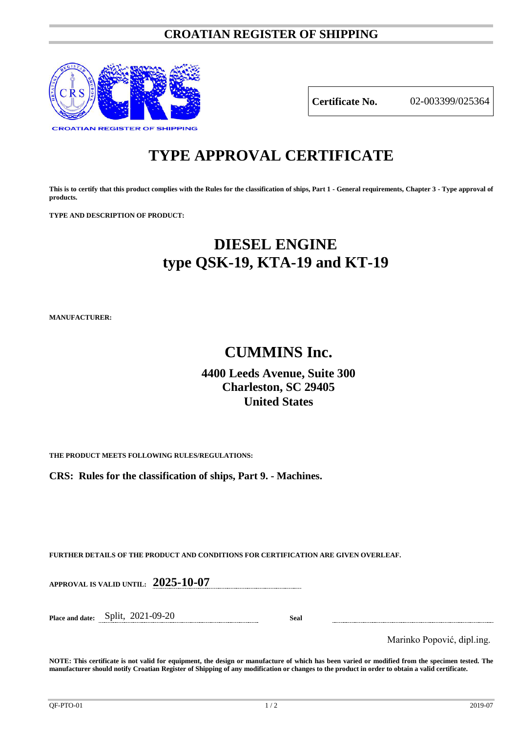### **CROATIAN REGISTER OF SHIPPING**



**Certificate No.** 02-003399/025364

# **TYPE APPROVAL CERTIFICATE**

**This is to certify that this product complies with the Rules for the classification of ships, Part 1 - General requirements, Chapter 3 - Type approval of products.**

**TYPE AND DESCRIPTION OF PRODUCT:** 

## **DIESEL ENGINE type QSK-19, KTA-19 and KT-19**

**MANUFACTURER:**

## **CUMMINS Inc.**

### **4400 Leeds Avenue, Suite 300 Charleston, SC 29405 United States**

**THE PRODUCT MEETS FOLLOWING RULES/REGULATIONS:**

**CRS: Rules for the classification of ships, Part 9. - Machines.**

**FURTHER DETAILS OF THE PRODUCT AND CONDITIONS FOR CERTIFICATION ARE GIVEN OVERLEAF.**

**APPROVAL IS VALID UNTIL: 2025-10-07**

**Place and date:** Split, 2021-09-20 **Seal**

Marinko Popović, dipl.ing.

**NOTE: This certificate is not valid for equipment, the design or manufacture of which has been varied or modified from the specimen tested. The manufacturer should notify Croatian Register of Shipping of any modification or changes to the product in order to obtain a valid certificate.**